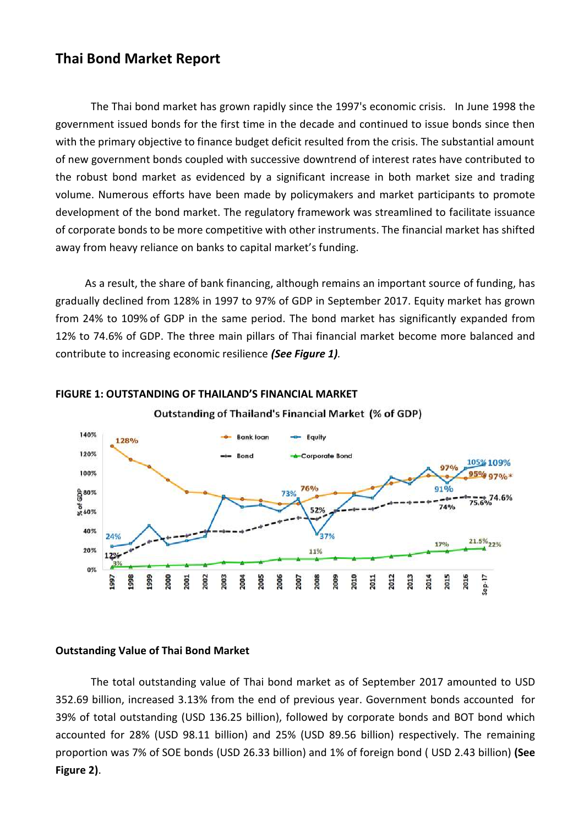# **Thai Bond Market Report**

The Thai bond market has grown rapidly since the 1997's economic crisis. In June 1998 the government issued bonds for the first time in the decade and continued to issue bonds since then with the primary objective to finance budget deficit resulted from the crisis. The substantial amount of new government bonds coupled with successive downtrend of interest rates have contributed to the robust bond market as evidenced by a significant increase in both market size and trading volume. Numerous efforts have been made by policymakers and market participants to promote development of the bond market. The regulatory framework was streamlined to facilitate issuance of corporate bonds to be more competitive with other instruments. The financial market has shifted away from heavy reliance on banks to capital market's funding.

As a result, the share of bank financing, although remains an important source of funding, has gradually declined from 128% in 1997 to 97% of GDP in September 2017. Equity market has grown from 24% to 109% of GDP in the same period. The bond market has significantly expanded from 12% to 74.6% of GDP. The three main pillars of Thai financial market become more balanced and contribute to increasing economic resilience *(See Figure 1).*





**Outstanding of Thailand's Financial Market (% of GDP)** 

### **Outstanding Value of Thai Bond Market**

The total outstanding value of Thai bond market as of September 2017 amounted to USD 352.69 billion, increased 3.13% from the end of previous year. Government bonds accounted for 39% of total outstanding (USD 136.25 billion), followed by corporate bonds and BOT bond which accounted for 28% (USD 98.11 billion) and 25% (USD 89.56 billion) respectively. The remaining proportion was 7% of SOE bonds (USD 26.33 billion) and 1% of foreign bond ( USD 2.43 billion) **(See Figure 2)**.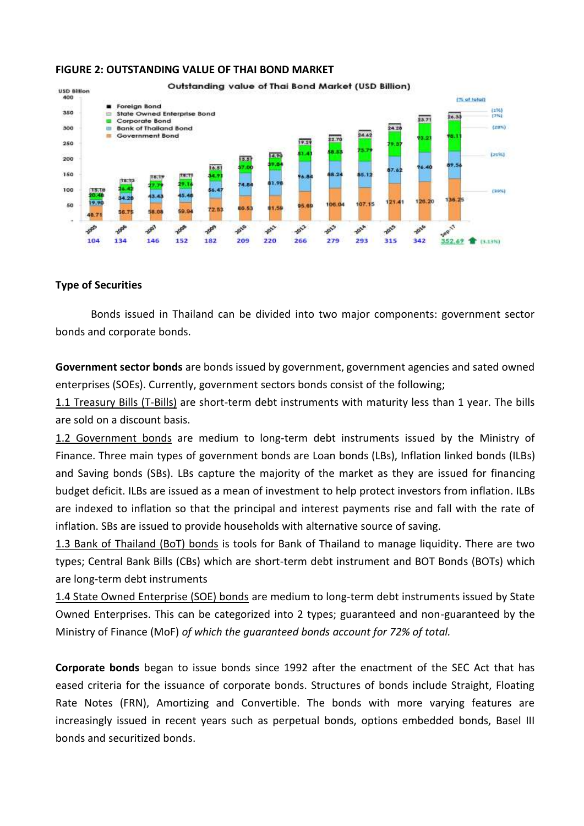

### **FIGURE 2: OUTSTANDING VALUE OF THAI BOND MARKET**

### **Type of Securities**

Bonds issued in Thailand can be divided into two major components: government sector bonds and corporate bonds.

**Government sector bonds** are bonds issued by government, government agencies and sated owned enterprises (SOEs). Currently, government sectors bonds consist of the following;

1.1 Treasury Bills (T-Bills) are short-term debt instruments with maturity less than 1 year. The bills are sold on a discount basis.

1.2 Government bonds are medium to long-term debt instruments issued by the Ministry of Finance. Three main types of government bonds are Loan bonds (LBs), Inflation linked bonds (ILBs) and Saving bonds (SBs). LBs capture the majority of the market as they are issued for financing budget deficit. ILBs are issued as a mean of investment to help protect investors from inflation. ILBs are indexed to inflation so that the principal and interest payments rise and fall with the rate of inflation. SBs are issued to provide households with alternative source of saving.

1.3 Bank of Thailand (BoT) bonds is tools for Bank of Thailand to manage liquidity. There are two types; Central Bank Bills (CBs) which are short-term debt instrument and BOT Bonds (BOTs) which are long-term debt instruments

1.4 State Owned Enterprise (SOE) bonds are medium to long-term debt instruments issued by State Owned Enterprises. This can be categorized into 2 types; guaranteed and non-guaranteed by the Ministry of Finance (MoF) *of which the guaranteed bonds account for 72% of total.*

**Corporate bonds** began to issue bonds since 1992 after the enactment of the SEC Act that has eased criteria for the issuance of corporate bonds. Structures of bonds include Straight, Floating Rate Notes (FRN), Amortizing and Convertible. The bonds with more varying features are increasingly issued in recent years such as perpetual bonds, options embedded bonds, Basel III bonds and securitized bonds.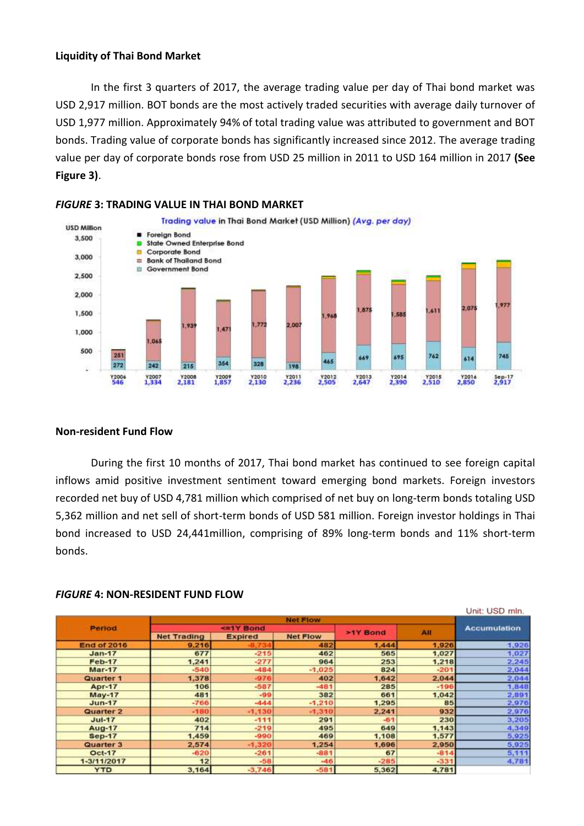### **Liquidity of Thai Bond Market**

In the first 3 quarters of 2017, the average trading value per day of Thai bond market was USD 2,917 million. BOT bonds are the most actively traded securities with average daily turnover of USD 1,977 million. Approximately 94% of total trading value was attributed to government and BOT bonds. Trading value of corporate bonds has significantly increased since 2012. The average trading value per day of corporate bonds rose from USD 25 million in 2011 to USD 164 million in 2017 **(See Figure 3)**.



### *FIGURE* **3: TRADING VALUE IN THAI BOND MARKET**

### **Non-resident Fund Flow**

During the first 10 months of 2017, Thai bond market has continued to see foreign capital inflows amid positive investment sentiment toward emerging bond markets. Foreign investors recorded net buy of USD 4,781 million which comprised of net buy on long-term bonds totaling USD 5,362 million and net sell of short-term bonds of USD 581 million. Foreign investor holdings in Thai bond increased to USD 24,441million, comprising of 89% long-term bonds and 11% short-term bonds.

|                    |                    |                |                 |          |        | Unit: USD mln.      |
|--------------------|--------------------|----------------|-----------------|----------|--------|---------------------|
|                    | <b>Net Flow</b>    |                |                 |          |        |                     |
| Period             | <= 1Y Bond         |                |                 | >1Y Bond | All    | <b>Accumulation</b> |
|                    | <b>Net Trading</b> | <b>Expired</b> | <b>Net Flow</b> |          |        |                     |
| <b>End of 2016</b> | 9,216              |                | 482             | 1,444    | 1,926  | 1,926               |
| $Jan-17$           | 677                | $-215$         | 462             | 565      | 1,027  | 1,027               |
| <b>Feb-17</b>      | 1,241              | $-277$         | 964             | 253      | 1,218  | 2.245               |
| <b>Mar-17</b>      | $-540$             | $-484$         | $-1.025$        | 824      | $-201$ | 2.044               |
| <b>Quarter 1</b>   | 1,378              | $-976$         | 402             | 1.642    | 2,044  | 2,044               |
| <b>Apr-17</b>      | 106                | $-587$         | $-481$          | 285      | $-196$ | 1,848               |
| <b>May-17</b>      | 481                | $-99$          | 382             | 661      | 1,042  | 2,891               |
| $Jun-17$           | $-766$             | $-444$         | $-1,210$        | 1,295    | 85     | 2,976               |
| Quarter 2          | $-180$             | $-1,130$       | $-1,310$        | 2,241    | 932    | 2,976               |
| $Jul-17$           | 402                | $-111$         | 291             | $-61$    | 230    | 3,205               |
| Aug-17             | 714                | $-219$         | 495             | 649      | 1,143  | 4,349               |
| <b>Sep-17</b>      | 1,459              | $-990$         | 469             | 1,108    | 1,577  | 5,925               |
| Quarter 3          | 2,574              | $-1,320$       | 1,254           | 1,696    | 2,950  | 5,925               |
| Oct-17             | $-620$             | $-261$         | $-881$          | 67       | $-814$ | 5,111               |
| 1-3/11/2017        | 12                 | $-58$          | $-46$           | $-285$   | $-331$ | 4.781               |
| <b>YTD</b>         | 3.164              | $-3.746$       | $-581$          | 5.362    | 4.781  |                     |

#### *FIGURE* **4: NON-RESIDENT FUND FLOW**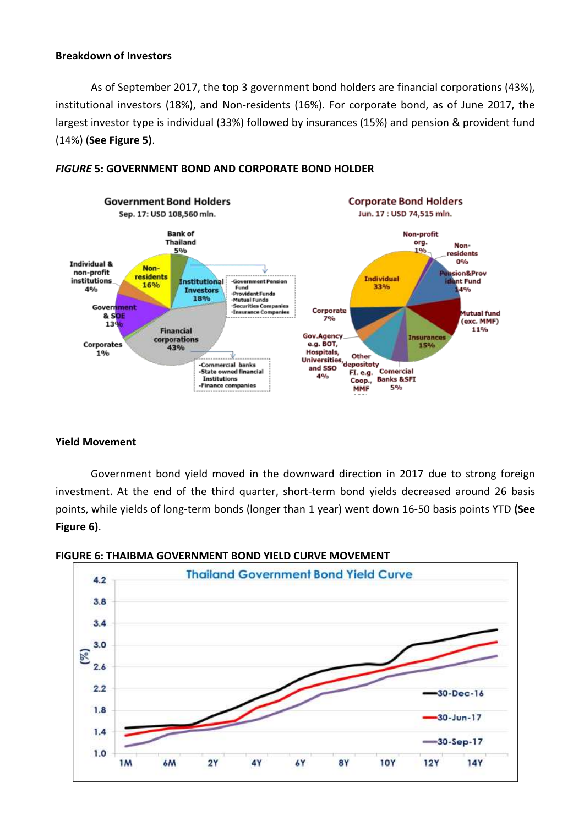### **Breakdown of Investors**

As of September 2017, the top 3 government bond holders are financial corporations (43%), institutional investors (18%), and Non-residents (16%). For corporate bond, as of June 2017, the largest investor type is individual (33%) followed by insurances (15%) and pension & provident fund (14%) (**See Figure 5)**.



## *FIGURE* **5: GOVERNMENT BOND AND CORPORATE BOND HOLDER**

# **Yield Movement**

Government bond yield moved in the downward direction in 2017 due to strong foreign investment. At the end of the third quarter, short-term bond yields decreased around 26 basis points, while yields of long-term bonds (longer than 1 year) went down 16-50 basis points YTD **(See Figure 6)**.



# **FIGURE 6: THAIBMA GOVERNMENT BOND YIELD CURVE MOVEMENT**